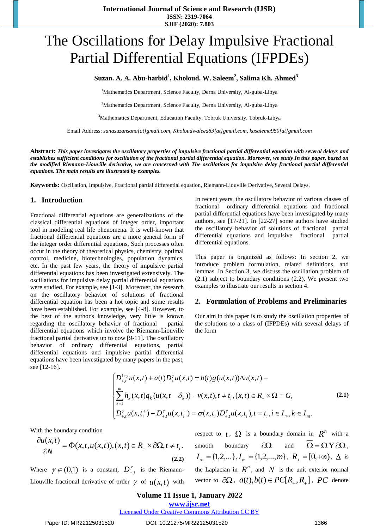# The Oscillations for Delay Impulsive Fractional Partial Differential Equations (IFPDEs)

**Suzan. A. A. Abu-harbid<sup>1</sup> , Kholoud. W. Saleem<sup>2</sup> , Salima Kh. Ahmed<sup>3</sup>**

<sup>1</sup>Mathematics Department, Science Faculty, Derna University, Al-guba-Libya

<sup>2</sup>Mathematics Department, Science Faculty, Derna University, Al-guba-Libya

<sup>3</sup>Mathematics Department, Education Faculty, Tobruk University, Tobruk-Libya

Email Address: *[sanasuzansana\[at\]gmail.com,](mailto:sanasuzansana@gmail.com) [Kholoudwaleed83\[at\]gmail.com,](mailto:Kholoudwaleed83@gmail.com) [kasalema980\[at\]gmail.com](mailto:kasalema980@gmail.com)*

**Abstract:** *This paper investigates the oscillatory properties of impulsive fractional partial differential equation with several delays and establishes sufficient conditions for oscillation of the fractional partial differential equation. Moreover, we study In this paper, based on the modified Riemann-Liouville derivative, we are concerned with The oscillations for impulsive delay fractional partial differential equations. The main results are illustrated by examples.*

**Keywords:** Oscillation, Impulsive, Fractional partial differential equation, Riemann-Liouville Derivative, Several Delays.

#### **1. Introduction**

Fractional differential equations are generalizations of the classical differential equations of integer order, important tool in modeling real life phenomena. It is well-known that fractional differential equations are a more general form of the integer order differential equations, Such processes often occur in the theory of theoretical physics, chemistry, optimal control, medicine, biotechnologies, population dynamics, etc. In the past few years, the theory of impulsive partial differential equations has been investigated extensively. The oscillations for impulsive delay partial differential equations were studied. For example, see [1-3]. Moreover, the research on the oscillatory behavior of solutions of fractional differential equation has been a hot topic and some results have been established. For example, see [4-8]. However, to the best of the author's knowledge, very little is known regarding the oscillatory behavior of fractional partial differential equations which involve the Riemann-Liouville fractional partial derivative up to now [9-11]. The oscillatory behavior of ordinary differential equations, partial differential equations and impulsive partial differential equations have been investigated by many papers in the past, see [12-16].

In recent years, the oscillatory behavior of various classes of fractional ordinary differential equations and fractional partial differential equations have been investigated by many authors, see [17-21]. In [22-27] some authors have studied the oscillatory behavior of solutions of fractional partial differential equations and impulsive fractional partial differential equations.

This paper is organized as follows: In section 2, we introduce problem formulation, related definitions, and lemmas. In Section 3, we discuss the oscillation problem of (2.1) subject to boundary conditions (2.2). We present two examples to illustrate our results in section 4.

#### **2. Formulation of Problems and Preliminaries**

Our aim in this paper is to study the oscillation properties of the solutions to a class of (IFPDEs) with several delays of the form

$$
\begin{cases}\nD_{+,t}^{1+\gamma}u(x,t) + a(t)D_{+}^{\gamma}u(x,t) = b(t)g(u(x,t))\Delta u(x,t) - \\
\sum_{k=1}^{m} h_k(x,t)q_k(u(x,t-\delta_k)) - v(x,t), t \neq t_i, (x,t) \in R_+ \times \Omega \equiv G, \\
D_{+,t}^{\gamma}u(x,t_i^+) - D_{+,t}^{\gamma}u(x,t_i^-) = \sigma(x,t_i)D_{+,t}^{\gamma}u(x,t_i^-), t = t_i, i \in I_\infty, k \in I_m.\n\end{cases}
$$
\n(2.1)

With the boundary condition

$$
\frac{\partial u(x,t)}{\partial N} = \Phi(x,t,u(x,t)), (x,t) \in R_+ \times \partial \Omega, t \neq t_i.
$$
\n(2.2)

Where  $\gamma \in (0,1)$  is a constant,  $D_{+,t}^{\gamma}$  is the Riemann-Liouville fractional derivative of order  $\gamma$  of  $u(x,t)$  with respect to  $t$ ,  $\Omega$  is a boundary domain in  $R^n$  with a smooth boundary  $\partial \Omega$  and  $\Omega = \Omega Y \partial \Omega$ ,  $I_{\infty} = \{1,2,...\}, I_{m} = \{1,2,...,m\}$ ,  $R_{+} = [0,+\infty)$ ,  $\Delta$  is the Laplacian in  $R^n$ , and N is the unit exterior normal vector to  $\partial \Omega$ ,  $a(t), b(t) \in PC[R_+, R_+]$ , *PC* denote

#### **Volume 11 Issue 1, January 2022**

**www.ijsr.net**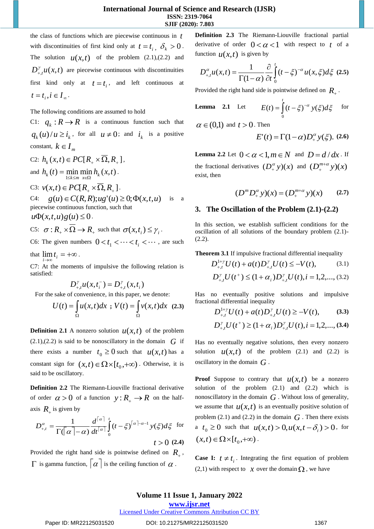the class of functions which are piecewise continuous in *t* with discontinuities of first kind only at  $t = t_i$ ,  $\delta_k > 0$ . The solution  $u(x,t)$  of the problem (2.1),(2.2) and  $D_{+,t}^{\gamma} u(x,t)$  are piecewise continuous with discontinuities first kind only at  $t = t_i$ , and left continuous at  $t = t_i, i \in I_\infty$ .

The following conditions are assumed to hold

C1:  $q_k : R \to R$  is a continuous function such that  $q_k(u)/u \ge i_k$ , for all  $u \ne 0$ ; and  $i_k$  is a positive constant,  $k \in I_m$ 

 $C2: h_k(x,t) \in PC[R_1 \times \Omega, R_+],$ and  $h_k(t) = \min_{1 \le k \le m} \min_{x \in \Omega} h_k(x,t)$ . C3:  $v(x,t) \in PC[R_+ \times \overline{\Omega}, R_+]$ . C4:  $g(u) \in C(R, R); ug'(u) \ge 0; \Phi(x, t, u)$  is a piecewise continuous function, such that  $u\Phi(x,t,u)g(u) \leq 0.$ C5:  $\sigma: R_{+} \times \Omega \to R_{+}$  such that  $\sigma(x, t_i) \leq \gamma_i$ .

C6: The given numbers  $0 < t_1 < \cdots < t_i < \cdots$ , are such

that  $\lim_{i \to \infty} t_i = +\infty$ .

C7: At the moments of impulsive the following relation is satisfied:

$$
D_{+,t}^{\gamma}u(x,t_{i}^{-})=D_{+,t}^{\gamma}(x,t_{i})
$$

For the sake of convenience, in this paper, we denote:

$$
U(t) = \int_{\Omega} u(x,t)dx \, ; \, V(t) = \int_{\Omega} v(x,t)dx \, (2.3)
$$

**Definition 2.1** A nonzero solution  $u(x,t)$  of the problem  $(2.1),(2.2)$  is said to be nonoscillatory in the domain  $\tilde{G}$  if there exists a number  $t_0 \ge 0$  such that  $u(x,t)$  has a constant sign for  $(x,t) \in \Omega \times [t_0,+\infty)$ . Otherwise, it is said to be oscillatory.

**Definition 2.2** The Riemann-Liouville fractional derivative of order  $\alpha > 0$  of a function  $y: R_+ \to R$  on the halfaxis  $R_+$  is given by

$$
D_{+,t}^{\alpha} = \frac{1}{\Gamma(\alpha - \alpha)} \frac{d^{\lceil \alpha \rceil}}{dt^{\lceil \alpha \rceil}} \int_{0}^{t} (t - \xi)^{\lceil \alpha \rceil - \alpha - 1} y(\xi) d\xi \text{ for}
$$
  
 $t > 0$  (2.4)

Provided the right hand side is pointwise defined on  $R_{+}$ ,  $\Gamma$  is gamma function,  $\alpha$  is the ceiling function of  $\alpha$ .

**Definition 2.3** The Riemann-Liouville fractional partial derivative of order  $0 < \alpha < 1$  with respect to t of a function  $u(x,t)$  is given by

$$
D_{+,t}^{\alpha}u(x,t) = \frac{1}{\Gamma(1-\alpha)}\frac{\partial}{\partial t}\int_{0}^{t}(t-\xi)^{-\alpha}u(x,\xi)d\xi
$$
 (2.5)

Provided the right hand side is pointwise defined on *R* .

**Lemma** 2.1 Let 
$$
E(t) = \int_{0}^{t} (t - \xi)^{-\alpha} y(\xi) d\xi
$$
 for

 $\alpha \in (0,1)$  and  $t > 0$ . Then

$$
E'(t) = \Gamma(1-\alpha)D_+^{\alpha}y(\xi).
$$
 (2.6)

**Lemma 2.2** Let  $0 < \alpha < 1, m \in N$  and  $D = d/dx$ . If the fractional derivatives  $(D_+^{\alpha} y)(x)$  and  $(D_+^{m+\alpha} y)(x)$  $^{'}+$ exist, then

$$
(D^m D^{\alpha}_+)y)(x) = (D^{m+\alpha}_+)y(x) \qquad (2.7)
$$

# **3. The Oscillation of the Problem (2.1)-(2.2)**

In this section, we establish sufficient conditions for the oscillation of all solutions of the boundary problem (2.1)- (2.2).

**Theorem 3.1** If impulsive fractional differential inequality

$$
D_{+,t}^{1+\gamma}U(t) + a(t)D_{+,t}^{\gamma}U(t) \le -V(t), \tag{3.1}
$$

$$
D_{+,l}^{\gamma}U(t^+) \leq (1+\alpha_i)D_{+,l}^{\gamma}U(t), i=1,2,...,(3.2)
$$

Has no eventually positive solutions and impulsive fractional differential inequality

$$
D_{+,t}^{1+\gamma}U(t) + a(t)D_{+,t}^{\gamma}U(t) \geq -V(t), \qquad (3.3)
$$

$$
D_{+,t}^{\gamma}U(t^+) \ge (1+\alpha_i)D_{+,t}^{\gamma}U(t), i=1,2,...,(3.4)
$$

Has no eventually negative solutions, then every nonzero solution  $u(x,t)$  of the problem (2.1) and (2.2) is oscillatory in the domain *G* .

**Proof** Suppose to contrary that  $u(x,t)$  be a nonzero solution of the problem (2.1) and (2.2) which is nonoscillatory in the domain  $G$ . Without loss of generality, we assume that  $u(x,t)$  is an eventually positive solution of problem  $(2.1)$  and  $(2.2)$  in the domain  $G$ . Then there exists a  $t_0 \ge 0$  such that  $u(x,t) > 0, u(x,t - \delta_i) > 0$ , for  $(x, t) \in \Omega \times [t_0, +\infty)$ .

**Case I:**  $t \neq t_i$ . Integrating the first equation of problem (2,1) with respect to  $\chi$  over the domain  $\Omega$ , we have

**www.ijsr.net**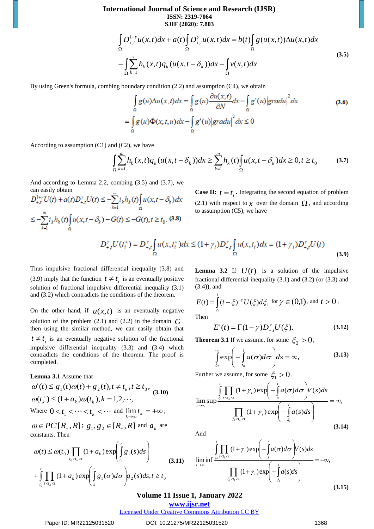**International Journal of Science and Research (IJSR) ISSN: 2319-7064**

**SJIF (2020): 7.803**

$$
\int_{\Omega} D_{+,t}^{1+\gamma} u(x,t) dx + a(t) \int_{\Omega} D_{+,t}^{\gamma} u(x,t) dx = b(t) \int_{\Omega} g(u(x,t)) \Delta u(x,t) dx
$$
\n
$$
- \int_{\Omega} \sum_{k=1}^{s} h_k(x,t) q_k (u(x,t-\delta_k)) dx - \int_{\Omega} v(x,t) dx
$$
\n(3.5)

By using Green's formula, combing boundary condition (2.2) and assumption (C4), we obtain

$$
\int_{\Omega} \sum_{k=1}^{n} \sum_{k=1}^{n} h_k(x, t) g_k(u(x, t - \delta_k)) dx - \int_{\Omega} v(x, t) dx
$$
  
\nboundary condition (2.2) and assumption (C4), we obtain  
\n
$$
\int_{\Omega} g(u) \Delta u(x, t) dx = \int_{\Omega} g(u) \frac{\partial u(x, t)}{\partial N} dx - \int_{\Omega} g'(u) |grad u|^2 dx
$$
(3.6)  
\n
$$
= \int_{\Omega} g(u) \Phi(x, t, u) dx - \int_{\Omega} g'(u) |grad u|^2 dx \le 0
$$
  
\n(C2), we have  
\n
$$
\int_{\text{min}}^{m} h_k(x, t) g_k(u(x, t - \delta_k)) dx \ge \sum_{k=1}^{m} h_k(t) \int_{\Omega} u(x, t - \delta_k) dx \ge 0, t \ge t_0
$$
(3.7)  
\n
$$
\int_{\text{min}}^{m} \sum_{k=1}^{n} h_k(x, t) g_k(u(x, t - \delta_k)) dx \ge \sum_{k=1}^{m} h_k(t) \int_{\Omega} u(x, t - \delta_k) dx \ge 0, t \ge t_0
$$
(3.7)  
\n
$$
\int_{\text{min}}^{m} \sum_{k=1}^{n} h_k(x, t) g_k(u(x, t - \delta_k)) dx \le \sum_{k=1}^{m} h_k(t) \int_{\Omega} u(x, t - \delta_k) dx \ge 0, t \ge t_0
$$
(3.9)  
\n
$$
\int_{\text{min}}^{m} \sum_{k=1}^{n} \int_{\Omega} u(x, t - \delta_k) dx \le (1 + \gamma_1) D_{x, t}^T \int_{\Omega} u(x, t_1) dx = (1 + \gamma_1) D_{x, t}^T U(t)
$$
(3.9)  
\n
$$
f(\tau) = D_{x, t}^T \int_{\Omega} u(x, t_1^+) dx \le (1 + \gamma_1) D_{x, t}^T \int_{\Omega} u(x, t_1) dx = (1 + \gamma_1) D_{x, t}^T U(t)
$$
(3.9)  
\n
$$
\int_{\text{total}}^{m} \sum_{k=1}^{m} \int_{\Omega} u(x, t_1^+) dx \le (1 + \gamma_1) D_{x, t}^T \int_{\Omega} u(x
$$

According to assumption  $(C1)$  and  $(C2)$ , we have

$$
\int_{\Omega} \sum_{k=1}^{m} h_k(x,t) q_k(u(x,t-\delta_k)) dx \geq \sum_{k=1}^{m} h_k(t) \int_{\Omega} u(x,t-\delta_k) dx \geq 0, t \geq t_0
$$
 (3.7)

And according to Lemma 2.2, combing (3.5) and (3.7), we can easily obtain

$$
D_{+,t}^{1+\gamma} U(t) + a(t)D_{+,t}^{\gamma} U(t) \le -\sum_{k=1} i_k h_k(t) \int_{\Omega} u(x, t - \delta_k) dx
$$
  

$$
\le -\sum_{k=1}^m i_k h_k(t) \int_{\Omega} u(x, t - \delta_k) - G(t) \le -G(t), t \ge t_0. \tag{3.8}
$$

 $t = t_i$ . Integrating the second equation of problem (2.1) with respect to  $\chi$  over the domain  $\Omega$ , and according to assumption (C5), we have

$$
D_{+t}^{\gamma}U(t_i^+) = D_{+t}^{\gamma} \int_{\Omega} u(x, t_i^+) dx \le (1 + \gamma_i) D_{+t}^{\gamma} \int_{\Omega} u(x, t_i) dx = (1 + \gamma_i) D_{+,t}^{\gamma} U(t)
$$
(3.9)

*t*

Thus impulsive fractional differential inequality (3.8) and (3.9) imply that the function  $t \neq t_i$  is an eventually positive solution of fractional impulsive differential inequality (3.1) and (3.2) which contradicts the conditions of the theorem.

On the other hand, if  $u(x,t)$  is an eventually negative solution of the problem  $(2.1)$  and  $(2.2)$  in the domain  $G$ , then using the similar method, we can easily obtain that  $t \neq t_i$  is an eventually negative solution of the fractional impulsive differential inequality (3.3) and (3.4) which contradicts the conditions of the theorem. The proof is completed.

#### **Lemma 3.1** Assume that

$$
\omega'(t) \le g_1(t)\omega(t) + g_2(t), t \neq t_k, t \ge t_0,
$$
  
\n
$$
\omega(t_k^+) \le (1 + a_k)\omega(t_k), k = 1, 2, \dots,
$$
  
\nWhere  $0 < t_1 < \dots < t_k < \dots$  and  $\lim_{k \to \infty} t_k = +\infty$ ;  
\n
$$
\omega \in PC^*[R_+, R] \colon g_1, g_2 \in [R_+, R]
$$
 and  $a_k$  are

constants. Then

$$
\omega(t) \leq \omega(t_0) \prod_{t_0 < t_k < t} (1 + a_k) \exp\left(\int_{t_0}^t g_1(s) ds\right)
$$
  
+ 
$$
\int_{t_0}^t \prod_{s < t_k < t} (1 + a_k) \exp\left(\int_s^t g_1(\sigma) d\sigma\right) g_2(s) ds, t \geq t_0
$$
 (3.11)

**Lemma 3.2** If  $U(t)$  is a solution of the impulsive fractional differential inequality (3.1) and (3.2) (or (3.3) and (3.4)), and

$$
E(t) = \int_{0}^{t} (t - \xi)^{-\gamma} U(\xi) d\xi, \text{ for } \gamma \in (0,1), \text{ and } t > 0.
$$
  
Then

$$
E'(t) = \Gamma(1 - \gamma)D_{+,t}^{\gamma}U(\xi).
$$
 (3.12)

**Theorem 3.1** If we assume, for some  $\zeta_2 > 0$ ,

$$
\int_{\xi_2}^{\infty} \exp\left(-\int_{t_0}^{t} a(\sigma)d\sigma\right) ds = \infty, \tag{3.13}
$$

Further we assume, for some  $\xi_1 > 0$ ,

$$
\limsup_{t \to \infty} \frac{\int_{\xi_1}^{t} \prod_{s < t_k < t} (1 + \gamma_i) \exp\left(-\int_s^t a(\sigma) d\sigma \right) V(s) ds}{\prod_{\xi_i < t_k < t} (1 + \gamma_i) \exp\left(-\int_{\xi_1}^t a(s) ds\right)} = \infty,
$$
\n(3.14)

And

$$
\lim_{t \to \infty} \inf \frac{\int_{\xi_1} \prod_{s < t_k < t} (1 + \gamma_i) \exp\left(-\int_s^t a(\sigma) d\sigma\right) V(s) ds}{\prod_{\xi_i < t_k < t} (1 + \gamma_i) \exp\left(-\int_{\xi_1}^t a(s) ds\right)} = -\infty,
$$
\n(3.15)

## **Volume 11 Issue 1, January 2022**

**www.ijsr.net**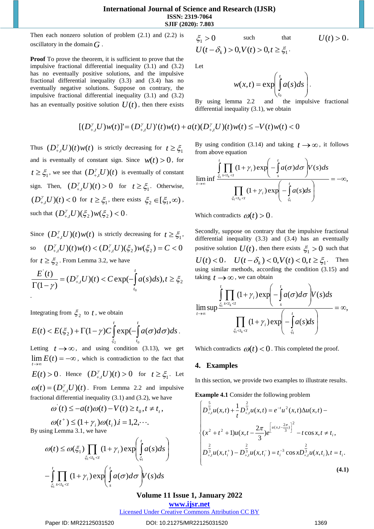**International Journal of Science and Research (IJSR) ISSN: 2319-7064 SJIF (2020): 7.803**

Then each nonzero solution of problem  $(2.1)$  and  $(2.2)$  is oscillatory in the domain *G* .

**Proof** To prove the theorem, it is sufficient to prove that the impulsive fractional differential inequality (3.1) and (3.2) has no eventually positive solutions, and the impulsive fractional differential inequality (3.3) and (3.4) has no eventually negative solutions. Suppose on contrary, the impulsive fractional differential inequality (3.1) and (3.2) has an eventually positive solution  $U(t)$ , then there exists

$$
\xi_1 > 0 \qquad \text{such} \qquad \qquad U(t) > 0,
$$
  

$$
U(t - \delta_k) > 0, V(t) > 0, t \ge \xi_1.
$$

Let

$$
w(x,t) = \exp\left(\int_{t_0}^t a(s)ds\right).
$$

By using lemma 2.2 and the impulsive fractional differential inequality (3.1), we obtain

$$
[(D_{+,t}^{\gamma}U)w(t)]' = (D_{+,t}^{\gamma}U)'(t)w(t) + a(t)(D_{+,t}^{\gamma}U)(t)w(t) \leq -V(t)w(t) < 0
$$

Thus  $(D_{+,t}^{\gamma}U)(t)w(t)$  is strictly decreasing for  $t \geq \xi_1$ and is eventually of constant sign. Since  $w(t) > 0$ , for  $t \geq \xi_1$ , we see that  $(D_{+,t}^{\gamma}U)(t)$  is eventually of constant sign. Then,  $(D_{+,t}^{\gamma}U)(t) > 0$  for  $t \geq \xi_1$ . Otherwise,  $(D_{+,t}^{\gamma}U)(t) < 0$  for  $t \geq \xi_1$ , there exists  $\xi_2 \in [\xi_1, \infty)$ , such that  $(D_{+,t}^{\gamma}U)(\xi_2)w(\xi_2) < 0$ .

Since  $(D_{+,t}^{\gamma}U)(t)w(t)$  is strictly decreasing for  $t \geq \xi_1$ , so  $(D_{+,t}^{\gamma}U)(t)w(t) < (D_{+,t}^{\gamma}U)(\xi_2)w(\xi_2) = C < 0$ for  $t \geq \xi_2$ . From Lemma 3.2, we have

$$
\frac{E^{'}(t)}{\Gamma(1-\gamma)} = (D^{y}_{+,t}U)(t) < C \exp\left(-\int_{t_0}^t a(s)ds\right), t \geq \xi_2
$$

Integrating from  $\zeta_2$  to t, we obtain

$$
E(t) < E(\xi_2) + \Gamma(1-\gamma)C \int\limits_{\xi_2}^t \exp(-\int\limits_{t_0}^t a(\sigma)d\sigma)ds.
$$

Letting  $t \to \infty$ , and using condition (3.13), we get  $\lim E(t) = -\infty$ , which is contradiction to the fact that  $\rightarrow \infty$ *t*  $E(t) > 0$ . Hence  $(D_{+,t}^{\gamma}U)(t) > 0$  for  $t \geq \xi_1$ . Let

 $\omega(t) = (D_{+,t}^{\gamma} U)(t)$ . From Lemma 2.2 and impulsive fractional differential inequality (3.1) and (3.2), we have

$$
\omega'(t) \le -a(t)\omega(t) - V(t) \ge t_0, t \ne t_t,
$$

$$
\omega(t^+) \le (1 + \gamma_i)\omega(t_i).i = 1, 2, \cdots.
$$
  
By using Lemma 3.1, we have

$$
\omega(t) \leq \omega(\xi_1) \prod_{\xi_1 < t_k < t} (1 + \gamma_i) \exp\left(\int_{\xi_1}^t a(s) ds\right)
$$

$$
\xi_{i} < t \qquad \qquad (\xi_{i} < t) - \int_{\xi_{i}}^{t} \prod_{s < t_{k} < t} (1 + \gamma_{i}) \exp \left( \int_{s}^{t} a(\sigma) d\sigma \right) V(s) ds
$$

By using condition (3.14) and taking  $t \rightarrow \infty$ , it follows from above equation

$$
\lim_{t\to\infty}\inf\frac{\int_{\xi_1}^t\prod_{s
$$

Which contradicts  $\omega(t) > 0$ .

Secondly, suppose on contrary that the impulsive fractional differential inequality (3.3) and (3.4) has an eventually positive solution  $U(t)$ , then there exists  $\xi_1 > 0$  such that  $U(t) < 0$ ,  $U(t - \delta_k) < 0$ ,  $V(t) < 0$ ,  $t \ge \xi_1$ . Then using similar methods, according the condition (3.15) and taking  $t \rightarrow \infty$ , we can obtain

$$
\limsup_{t\to\infty}\frac{\int_{\xi_1}^t\prod_{s
$$

Which contradicts  $\omega(t) < 0$ . This completed the proof.

## **4. Examples**

In this section, we provide two examples to illustrate results.

**Example 4.1** Consider the following problem

$$
\begin{cases}\n\int_{\frac{3}{4},u(x,t)+\frac{1}{t}}^{\frac{2}{3}} D_{+,t}^{\frac{2}{3}} u(x,t) = e^{-t} u^2(x,t) \Delta u(x,t) - \\
(x^2 + t^2 + 1) u(x,t - \frac{2\pi}{3}) e^{\left[ u(x,t - \frac{2\pi}{3}) \right]^2} - t \cos x, t \neq t_i, \\
\int_{\frac{2}{4},u(x,t_i^+) - \sum_{+,t}^{\frac{2}{3}} u(x,t_i^-) = t_i^{-3} \cos x D_{+,t}^{\frac{2}{3}} u(x,t_i), t = t_i.\n\end{cases}
$$
\n(4.1)

# **Volume 11 Issue 1, January 2022**

 $\bigg)$ 

**www.ijsr.net**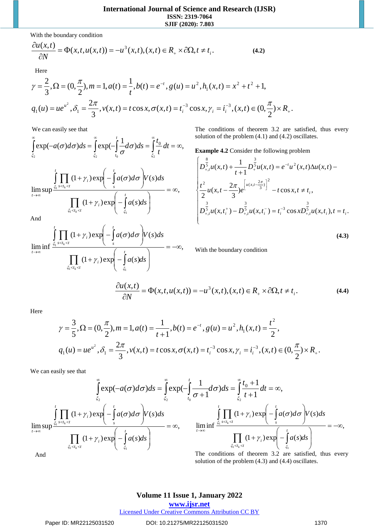With the boundary condition

$$
\frac{\partial u(x,t)}{\partial N} = \Phi(x,t,u(x,t)) = -u^3(x,t), (x,t) \in R_+ \times \partial \Omega, t \neq t_i.
$$
\n(4.2)

Here

$$
\gamma = \frac{2}{3}, \Omega = (0, \frac{\pi}{2}), m = 1, a(t) = \frac{1}{t}, b(t) = e^{-t}, g(u) = u^2, h_1(x, t) = x^2 + t^2 + 1,
$$
  

$$
q_1(u) = ue^{u^2}, \delta_1 = \frac{2\pi}{3}, v(x, t) = t \cos x, \sigma(x, t) = t_1^{-3} \cos x, \gamma_i = t_i^{-3}, (x, t) \in (0, \frac{\pi}{2}) \times R_+.
$$

We can easily see that

$$
\int_{\xi_2}^{\infty} \exp(-a(\sigma)d\sigma)ds = \int_{\xi_2}^{\infty} \exp(-\int_{t_0}^{t} \frac{1}{\sigma}d\sigma)ds = \int_{\xi_2}^{\infty} \frac{t_0}{t}dt = \infty,
$$

$$
\lim_{t \to \infty} \sup \frac{\int_{\xi_1}^t \prod_{s < t_k < t} (1 + \gamma_i) \exp\left(-\int_s^t a(\sigma) d\sigma\right) V(s) ds}{\prod_{\xi_i < t_k < t} (1 + \gamma_i) \exp\left(-\int_{\xi_1}^t a(s) ds\right)} = \infty,
$$

The conditions of theorem 3.2 are satisfied, thus every solution of the problem (4.1) and (4.2) oscillates.

**Example 4.2** Consider the following problem

$$
\begin{cases}\nD_{+,t}^{\frac{8}{5}}u(x,t) + \frac{1}{t+1}D_{+}^{\frac{3}{5}}u(x,t) = e^{-t}u^{2}(x,t)\Delta u(x,t) - \\
\frac{t^{2}}{2}u(x,t - \frac{2\pi}{3})e^{\left[u(x,t - \frac{2\pi}{3})\right]^{2}} - t\cos x, t \neq t_{i}, \\
D_{+,t}^{\frac{3}{5}}u(x,t_{i}^{+}) - D_{+,t}^{\frac{3}{5}}u(x,t_{i}^{-}) = t_{i}^{-3}\cos xD_{+,t}^{\frac{3}{5}}u(x,t_{i}), t = t_{i}.\n\end{cases}
$$

$$
\lim_{t\to\infty}\inf\frac{\int_{\xi_1}^t\prod_{s
$$

**(4.3)**

With the boundary condition

$$
\frac{\partial u(x,t)}{\partial N} = \Phi(x,t,u(x,t)) = -u^3(x,t), (x,t) \in R_+ \times \partial \Omega, t \neq t_i.
$$
\n(4.4)

Here

$$
\gamma = \frac{3}{5}, \Omega = (0, \frac{\pi}{2}), m = 1, a(t) = \frac{1}{t+1}, b(t) = e^{-t}, g(u) = u^2, h_1(x, t) = \frac{t^2}{2},
$$
  

$$
q_1(u) = ue^{u^2}, \delta_1 = \frac{2\pi}{3}, v(x, t) = t\cos x, \sigma(x, t) = t_1^{-3}\cos x, \gamma_i = t_i^{-3}, (x, t) \in (0, \frac{\pi}{2}) \times R_+.
$$

We can easily see that

$$
\int_{\xi_2}^{\infty} \exp(-a(\sigma)d\sigma)ds = \int_{\xi_2}^{\infty} \exp(-\int_{t_0}^{t} \frac{1}{\sigma+1} d\sigma)ds = \int_{\xi_2}^{\infty} \frac{t_0+1}{t+1} dt = \infty,
$$
\n
$$
\lim_{t \to \infty} \sup_{\xi_1 \le t_k \le t} \frac{\int_{\xi_1}^{t} \prod_{s \le t_k \le t} (1+\gamma_i) \exp(-\int_{s}^{t} a(\sigma)d\sigma}{\prod_{t \to \infty} (1+\gamma_i) \exp(-\int_{\xi_1}^{t} a(\sigma)d\sigma} \Bigg)V(s)ds
$$
\n
$$
= \infty, \qquad \lim_{t \to \infty} \inf_{\xi_1 \le t_k \le t} \frac{\int_{\xi_1 \le t_k \le t} (1+\gamma_i) \exp(-\int_{s}^{t} a(\sigma)d\sigma}{\prod_{\xi_1 \le t_k \le t} (1+\gamma_i) \exp(-\int_{\xi_1}^{t} a(s)ds)} = -\infty,
$$
\nThe conditions of theorem 3.2 are satisfied, thus ever

And

The conditions of theorem 3.2 are satisfied, thus every solution of the problem (4.3) and (4.4) oscillates.

# **Volume 11 Issue 1, January 2022**

#### **www.ijsr.net** Licensed Under Creative Commons Attribution CC BY

Paper ID: MR22125031520 DOI: 10.21275/MR22125031520